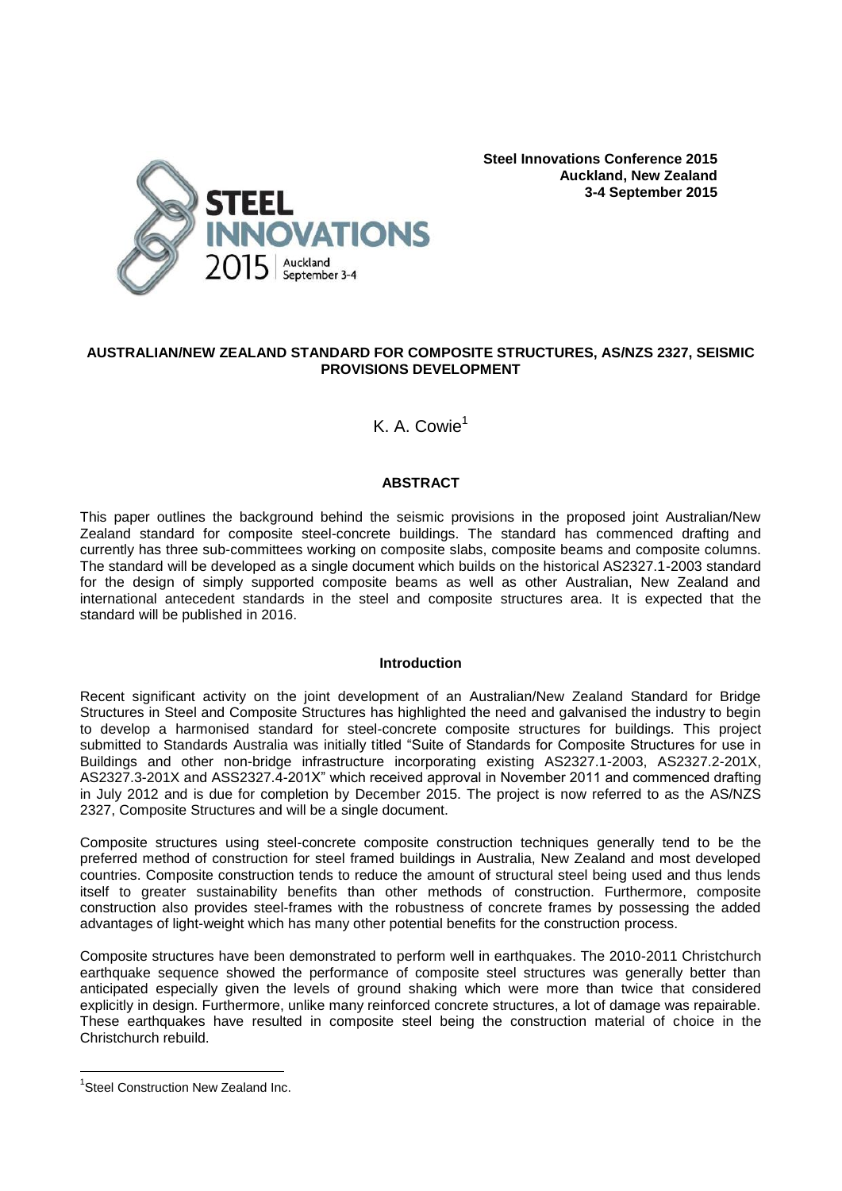

**Steel Innovations Conference 2015 Auckland, New Zealand 3-4 September 2015**

# **AUSTRALIAN/NEW ZEALAND STANDARD FOR COMPOSITE STRUCTURES, AS/NZS 2327, SEISMIC PROVISIONS DEVELOPMENT**

K. A. Cowie<sup>1</sup>

# **ABSTRACT**

This paper outlines the background behind the seismic provisions in the proposed joint Australian/New Zealand standard for composite steel-concrete buildings. The standard has commenced drafting and currently has three sub-committees working on composite slabs, composite beams and composite columns. The standard will be developed as a single document which builds on the historical AS2327.1-2003 standard for the design of simply supported composite beams as well as other Australian, New Zealand and international antecedent standards in the steel and composite structures area. It is expected that the standard will be published in 2016.

## **Introduction**

Recent significant activity on the joint development of an Australian/New Zealand Standard for Bridge Structures in Steel and Composite Structures has highlighted the need and galvanised the industry to begin to develop a harmonised standard for steel-concrete composite structures for buildings. This project submitted to Standards Australia was initially titled "Suite of Standards for Composite Structures for use in Buildings and other non-bridge infrastructure incorporating existing AS2327.1-2003, AS2327.2-201X, AS2327.3-201X and ASS2327.4-201X" which received approval in November 2011 and commenced drafting in July 2012 and is due for completion by December 2015. The project is now referred to as the AS/NZS 2327, Composite Structures and will be a single document.

Composite structures using steel-concrete composite construction techniques generally tend to be the preferred method of construction for steel framed buildings in Australia, New Zealand and most developed countries. Composite construction tends to reduce the amount of structural steel being used and thus lends itself to greater sustainability benefits than other methods of construction. Furthermore, composite construction also provides steel-frames with the robustness of concrete frames by possessing the added advantages of light-weight which has many other potential benefits for the construction process.

Composite structures have been demonstrated to perform well in earthquakes. The 2010-2011 Christchurch earthquake sequence showed the performance of composite steel structures was generally better than anticipated especially given the levels of ground shaking which were more than twice that considered explicitly in design. Furthermore, unlike many reinforced concrete structures, a lot of damage was repairable. These earthquakes have resulted in composite steel being the construction material of choice in the Christchurch rebuild.

÷,

<sup>&</sup>lt;sup>1</sup>Steel Construction New Zealand Inc.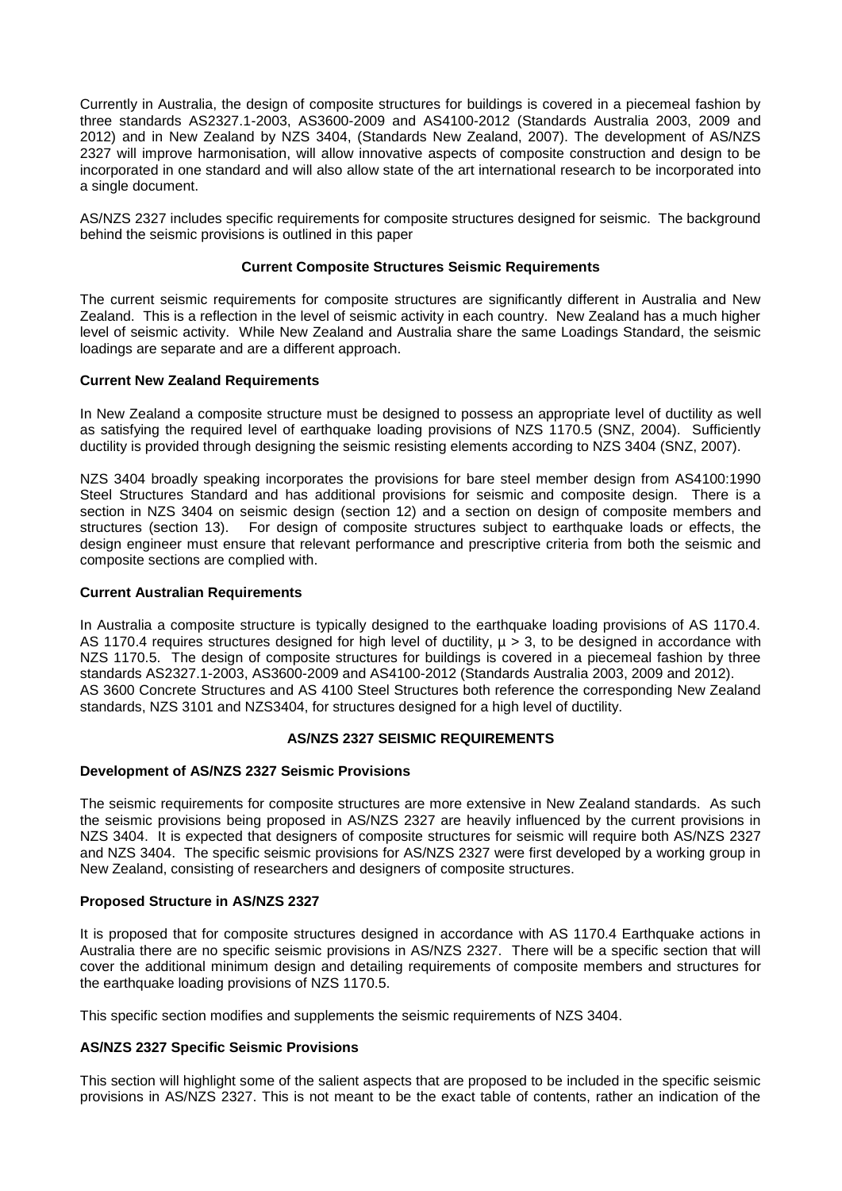Currently in Australia, the design of composite structures for buildings is covered in a piecemeal fashion by three standards AS2327.1-2003, AS3600-2009 and AS4100-2012 (Standards Australia 2003, 2009 and 2012) and in New Zealand by NZS 3404, (Standards New Zealand, 2007). The development of AS/NZS 2327 will improve harmonisation, will allow innovative aspects of composite construction and design to be incorporated in one standard and will also allow state of the art international research to be incorporated into a single document.

AS/NZS 2327 includes specific requirements for composite structures designed for seismic. The background behind the seismic provisions is outlined in this paper

# **Current Composite Structures Seismic Requirements**

The current seismic requirements for composite structures are significantly different in Australia and New Zealand. This is a reflection in the level of seismic activity in each country. New Zealand has a much higher level of seismic activity. While New Zealand and Australia share the same Loadings Standard, the seismic loadings are separate and are a different approach.

## **Current New Zealand Requirements**

In New Zealand a composite structure must be designed to possess an appropriate level of ductility as well as satisfying the required level of earthquake loading provisions of NZS 1170.5 (SNZ, 2004). Sufficiently ductility is provided through designing the seismic resisting elements according to NZS 3404 (SNZ, 2007).

NZS 3404 broadly speaking incorporates the provisions for bare steel member design from AS4100:1990 Steel Structures Standard and has additional provisions for seismic and composite design. There is a section in NZS 3404 on seismic design (section 12) and a section on design of composite members and structures (section 13). For design of composite structures subject to earthquake loads or effects, the design engineer must ensure that relevant performance and prescriptive criteria from both the seismic and composite sections are complied with.

## **Current Australian Requirements**

In Australia a composite structure is typically designed to the earthquake loading provisions of AS 1170.4. AS 1170.4 requires structures designed for high level of ductility,  $\mu > 3$ , to be designed in accordance with NZS 1170.5. The design of composite structures for buildings is covered in a piecemeal fashion by three standards AS2327.1-2003, AS3600-2009 and AS4100-2012 (Standards Australia 2003, 2009 and 2012). AS 3600 Concrete Structures and AS 4100 Steel Structures both reference the corresponding New Zealand standards, NZS 3101 and NZS3404, for structures designed for a high level of ductility.

## **AS/NZS 2327 SEISMIC REQUIREMENTS**

## **Development of AS/NZS 2327 Seismic Provisions**

The seismic requirements for composite structures are more extensive in New Zealand standards. As such the seismic provisions being proposed in AS/NZS 2327 are heavily influenced by the current provisions in NZS 3404. It is expected that designers of composite structures for seismic will require both AS/NZS 2327 and NZS 3404. The specific seismic provisions for AS/NZS 2327 were first developed by a working group in New Zealand, consisting of researchers and designers of composite structures.

## **Proposed Structure in AS/NZS 2327**

It is proposed that for composite structures designed in accordance with AS 1170.4 Earthquake actions in Australia there are no specific seismic provisions in AS/NZS 2327. There will be a specific section that will cover the additional minimum design and detailing requirements of composite members and structures for the earthquake loading provisions of NZS 1170.5.

This specific section modifies and supplements the seismic requirements of NZS 3404.

## **AS/NZS 2327 Specific Seismic Provisions**

This section will highlight some of the salient aspects that are proposed to be included in the specific seismic provisions in AS/NZS 2327. This is not meant to be the exact table of contents, rather an indication of the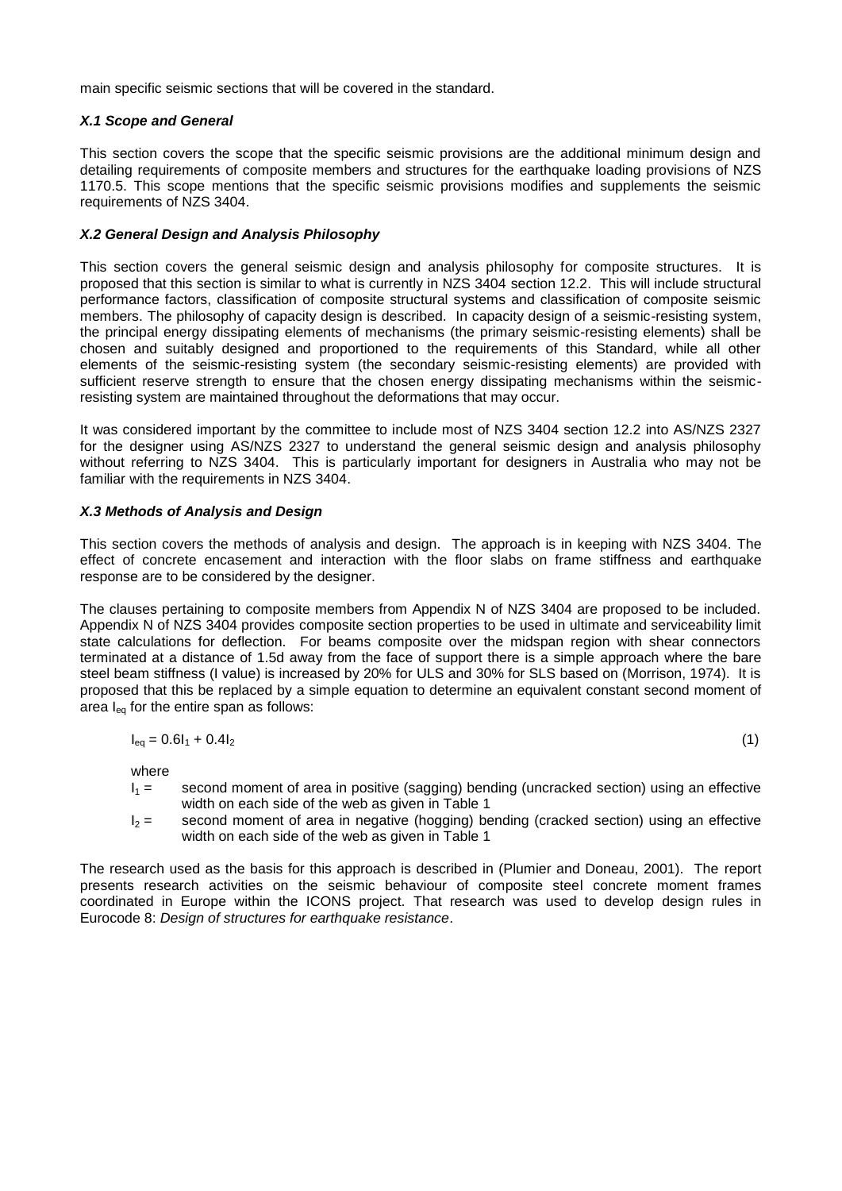main specific seismic sections that will be covered in the standard.

# *X.1 Scope and General*

This section covers the scope that the specific seismic provisions are the additional minimum design and detailing requirements of composite members and structures for the earthquake loading provisions of NZS 1170.5. This scope mentions that the specific seismic provisions modifies and supplements the seismic requirements of NZS 3404.

# *X.2 General Design and Analysis Philosophy*

This section covers the general seismic design and analysis philosophy for composite structures. It is proposed that this section is similar to what is currently in NZS 3404 section 12.2. This will include structural performance factors, classification of composite structural systems and classification of composite seismic members. The philosophy of capacity design is described. In capacity design of a seismic-resisting system, the principal energy dissipating elements of mechanisms (the primary seismic-resisting elements) shall be chosen and suitably designed and proportioned to the requirements of this Standard, while all other elements of the seismic-resisting system (the secondary seismic-resisting elements) are provided with sufficient reserve strength to ensure that the chosen energy dissipating mechanisms within the seismicresisting system are maintained throughout the deformations that may occur.

It was considered important by the committee to include most of NZS 3404 section 12.2 into AS/NZS 2327 for the designer using AS/NZS 2327 to understand the general seismic design and analysis philosophy without referring to NZS 3404. This is particularly important for designers in Australia who may not be familiar with the requirements in NZS 3404.

## *X.3 Methods of Analysis and Design*

This section covers the methods of analysis and design. The approach is in keeping with NZS 3404. The effect of concrete encasement and interaction with the floor slabs on frame stiffness and earthquake response are to be considered by the designer.

The clauses pertaining to composite members from Appendix N of NZS 3404 are proposed to be included. Appendix N of NZS 3404 provides composite section properties to be used in ultimate and serviceability limit state calculations for deflection. For beams composite over the midspan region with shear connectors terminated at a distance of 1.5d away from the face of support there is a simple approach where the bare steel beam stiffness (I value) is increased by 20% for ULS and 30% for SLS based on (Morrison, 1974). It is proposed that this be replaced by a simple equation to determine an equivalent constant second moment of area  $I_{eq}$  for the entire span as follows:

$$
I_{eq} = 0.6I_1 + 0.4I_2 \tag{1}
$$

where

- $I_1 =$  second moment of area in positive (sagging) bending (uncracked section) using an effective width on each side of the web as given in Table 1
- $I_2$  = second moment of area in negative (hogging) bending (cracked section) using an effective width on each side of the web as given in Table 1

The research used as the basis for this approach is described in (Plumier and Doneau, 2001). The report presents research activities on the seismic behaviour of composite steel concrete moment frames coordinated in Europe within the ICONS project. That research was used to develop design rules in Eurocode 8: *Design of structures for earthquake resistance*.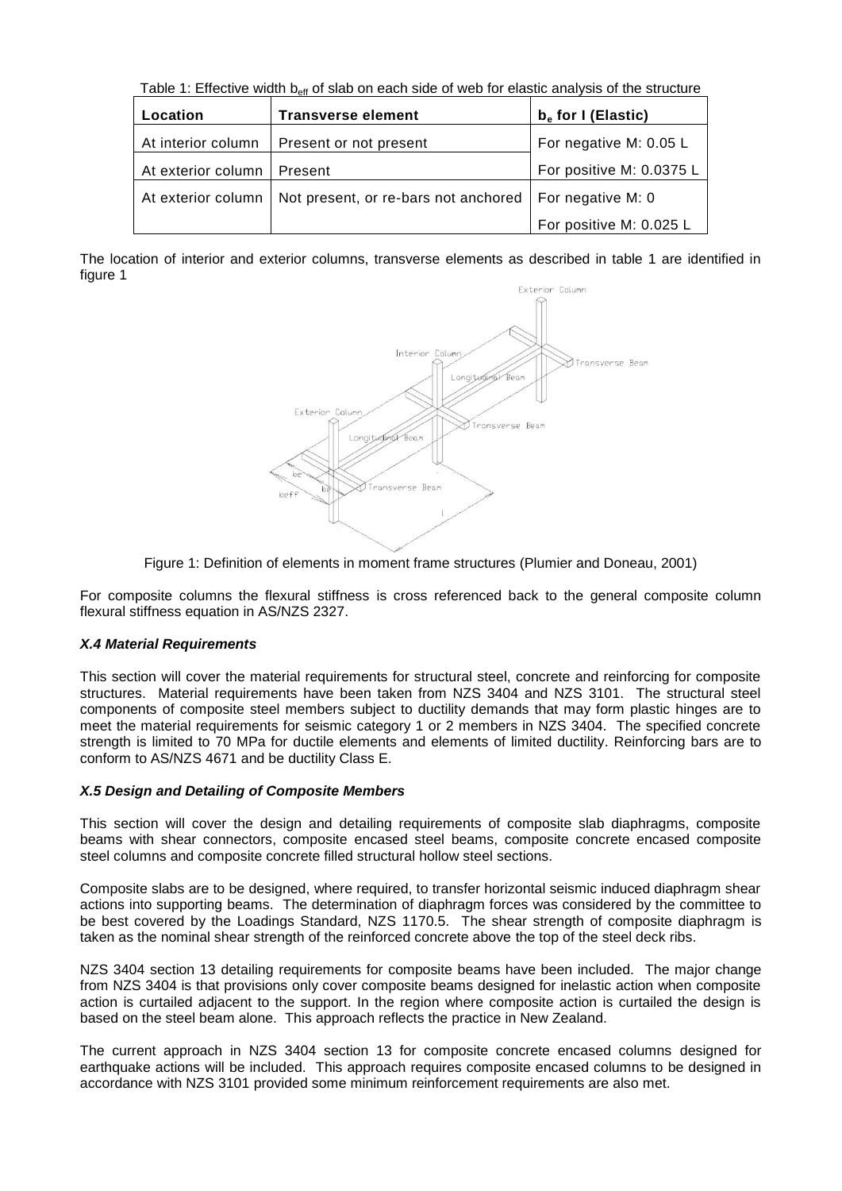Table 1: Effective width b<sub>eff</sub> of slab on each side of web for elastic analysis of the structure

| Location             | <b>Transverse element</b>            | $be$ for I (Elastic)     |
|----------------------|--------------------------------------|--------------------------|
| At interior column   | Present or not present               | For negative M: 0.05 L   |
| At exterior column I | Present                              | For positive M: 0.0375 L |
| At exterior column   | Not present, or re-bars not anchored | For negative M: 0        |
|                      |                                      | For positive M: 0.025 L  |

The location of interior and exterior columns, transverse elements as described in table 1 are identified in figure 1



Figure 1: Definition of elements in moment frame structures (Plumier and Doneau, 2001)

For composite columns the flexural stiffness is cross referenced back to the general composite column flexural stiffness equation in AS/NZS 2327.

# *X.4 Material Requirements*

This section will cover the material requirements for structural steel, concrete and reinforcing for composite structures. Material requirements have been taken from NZS 3404 and NZS 3101. The structural steel components of composite steel members subject to ductility demands that may form plastic hinges are to meet the material requirements for seismic category 1 or 2 members in NZS 3404. The specified concrete strength is limited to 70 MPa for ductile elements and elements of limited ductility. Reinforcing bars are to conform to AS/NZS 4671 and be ductility Class E.

# *X.5 Design and Detailing of Composite Members*

This section will cover the design and detailing requirements of composite slab diaphragms, composite beams with shear connectors, composite encased steel beams, composite concrete encased composite steel columns and composite concrete filled structural hollow steel sections.

Composite slabs are to be designed, where required, to transfer horizontal seismic induced diaphragm shear actions into supporting beams. The determination of diaphragm forces was considered by the committee to be best covered by the Loadings Standard, NZS 1170.5. The shear strength of composite diaphragm is taken as the nominal shear strength of the reinforced concrete above the top of the steel deck ribs.

NZS 3404 section 13 detailing requirements for composite beams have been included. The major change from NZS 3404 is that provisions only cover composite beams designed for inelastic action when composite action is curtailed adjacent to the support. In the region where composite action is curtailed the design is based on the steel beam alone. This approach reflects the practice in New Zealand.

The current approach in NZS 3404 section 13 for composite concrete encased columns designed for earthquake actions will be included. This approach requires composite encased columns to be designed in accordance with NZS 3101 provided some minimum reinforcement requirements are also met.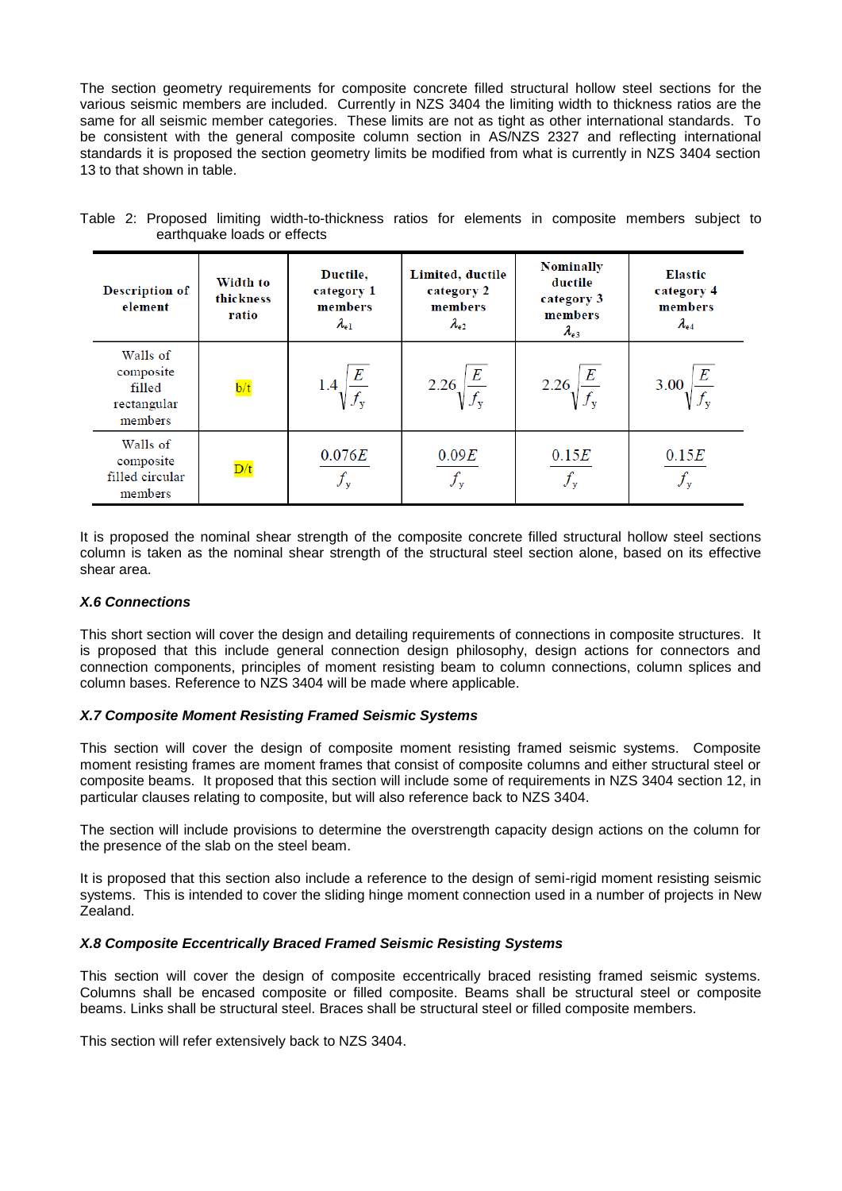The section geometry requirements for composite concrete filled structural hollow steel sections for the various seismic members are included. Currently in NZS 3404 the limiting width to thickness ratios are the same for all seismic member categories. These limits are not as tight as other international standards. To be consistent with the general composite column section in AS/NZS 2327 and reflecting international standards it is proposed the section geometry limits be modified from what is currently in NZS 3404 section 13 to that shown in table.

| <b>Description of</b><br>element                          | Width to<br>thickness<br>ratio | Ductile.<br>category 1<br>members<br>$\lambda_{\rm e1}$ | Limited, ductile<br>category 2<br>members<br>$\lambda_{e2}$ | <b>Nominally</b><br>ductile<br>category 3<br>members<br>$\lambda_{e3}$ | <b>Elastic</b><br>category 4<br>members<br>$\lambda_{\rm e4}$ |  |
|-----------------------------------------------------------|--------------------------------|---------------------------------------------------------|-------------------------------------------------------------|------------------------------------------------------------------------|---------------------------------------------------------------|--|
| Walls of<br>composite<br>filled<br>rectangular<br>members | $\frac{b}{t}$                  | $\it E$                                                 | $\bm E$<br>2.26                                             | E<br>2.26 $\sqrt{f}$                                                   | E<br>3.00                                                     |  |
| Walls of<br>composite<br>filled circular<br>members       | $\overline{D/t}$               | 0.076E<br>$f_{\rm v}$                                   | 0.09E<br>$f_{\rm y}$                                        | 0.15E                                                                  | 0.15E<br>$f_{\rm y}$                                          |  |

|                             |  |  |  | Table 2: Proposed limiting width-to-thickness ratios for elements in composite members subject to |  |  |  |  |
|-----------------------------|--|--|--|---------------------------------------------------------------------------------------------------|--|--|--|--|
| earthquake loads or effects |  |  |  |                                                                                                   |  |  |  |  |

It is proposed the nominal shear strength of the composite concrete filled structural hollow steel sections column is taken as the nominal shear strength of the structural steel section alone, based on its effective shear area.

# *X.6 Connections*

This short section will cover the design and detailing requirements of connections in composite structures. It is proposed that this include general connection design philosophy, design actions for connectors and connection components, principles of moment resisting beam to column connections, column splices and column bases. Reference to NZS 3404 will be made where applicable.

## *X.7 Composite Moment Resisting Framed Seismic Systems*

This section will cover the design of composite moment resisting framed seismic systems. Composite moment resisting frames are moment frames that consist of composite columns and either structural steel or composite beams. It proposed that this section will include some of requirements in NZS 3404 section 12, in particular clauses relating to composite, but will also reference back to NZS 3404.

The section will include provisions to determine the overstrength capacity design actions on the column for the presence of the slab on the steel beam.

It is proposed that this section also include a reference to the design of semi-rigid moment resisting seismic systems. This is intended to cover the sliding hinge moment connection used in a number of projects in New Zealand.

## *X.8 Composite Eccentrically Braced Framed Seismic Resisting Systems*

This section will cover the design of composite eccentrically braced resisting framed seismic systems. Columns shall be encased composite or filled composite. Beams shall be structural steel or composite beams. Links shall be structural steel. Braces shall be structural steel or filled composite members.

This section will refer extensively back to NZS 3404.